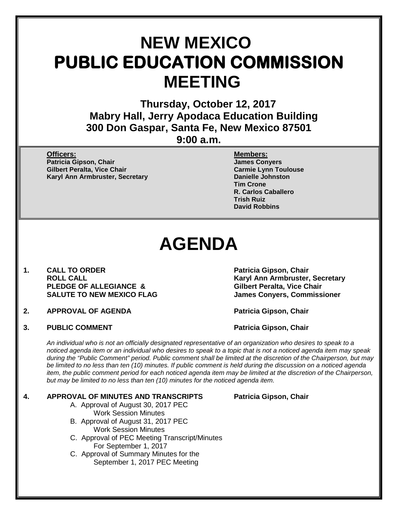### **NEW MEXICO PUBLIC EDUCATION COMMISSION MEETING**

**Thursday, October 12, 2017 Mabry Hall, Jerry Apodaca Education Building 300 Don Gaspar, Santa Fe, New Mexico 87501 9:00 a.m.**

**Officers: Members: Patricia Gipson, Chair James Conyers Gilbert Peralta, Vice Chair Carmic Lynn Toulouse Carmie Lynn Toulouse Carmie Lynn Toulouse**<br> **Carmie Lynn Toulouse**<br> **Carmie Lynn Armbruster, Secretary Karyl Ann Armbruster, Secretary** 

# **Tim Crone**

 **R. Carlos Caballero Trish Ruiz David Robbins**

## **AGENDA**

- 1. CALL TO ORDER **Patricia Gipson, Chair**<br>ROLL CALL **ROUL** PLEDGE OF ALLEGIANCE & Gilbert Peralta, Vice Chair **SALUTE TO NEW MEXICO FLAG James Conyers, Commissioner**
- **2. APPROVAL OF AGENDA Patricia Gipson, Chair**
- **3. PUBLIC COMMENT Patricia Gipson, Chair** Patricia Gipson, Chair

**Karyl Ann Armbruster, Secretary** 

*An individual who is not an officially designated representative of an organization who desires to speak to a noticed agenda item or an individual who desires to speak to a topic that is not a noticed agenda item may speak during the "Public Comment" period. Public comment shall be limited at the discretion of the Chairperson, but may be limited to no less than ten (10) minutes. If public comment is held during the discussion on a noticed agenda item, the public comment period for each noticed agenda item may be limited at the discretion of the Chairperson, but may be limited to no less than ten (10) minutes for the noticed agenda item.*

### **4. APPROVAL OF MINUTES AND TRANSCRIPTS Patricia Gipson, Chair**

- A. Approval of August 30, 2017 PEC Work Session Minutes
- B. Approval of August 31, 2017 PEC Work Session Minutes
- C. Approval of PEC Meeting Transcript/Minutes For September 1, 2017
- C. Approval of Summary Minutes for the September 1, 2017 PEC Meeting